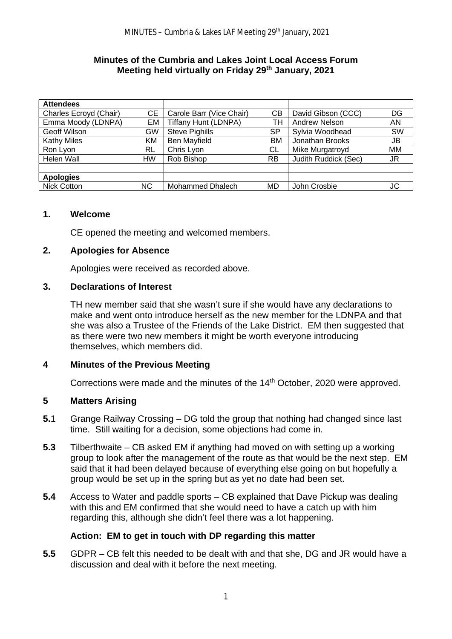#### **Minutes of the Cumbria and Lakes Joint Local Access Forum Meeting held virtually on Friday 29th January, 2021**

| <b>Attendees</b>       |     |                             |    |                      |           |
|------------------------|-----|-----------------------------|----|----------------------|-----------|
| Charles Ecroyd (Chair) | CЕ  | Carole Barr (Vice Chair)    | CВ | David Gibson (CCC)   | DG        |
| Emma Moody (LDNPA)     | EM  | <b>Tiffany Hunt (LDNPA)</b> | тн | Andrew Nelson        | AN        |
| Geoff Wilson           | GW  | <b>Steve Pighills</b>       | SP | Sylvia Woodhead      | SW        |
| <b>Kathy Miles</b>     | ΚM  | <b>Ben Mayfield</b>         | ВM | Jonathan Brooks      | JB        |
| Ron Lyon               | RL  | Chris Lyon                  | СL | Mike Murgatroyd      | <b>MM</b> |
| Helen Wall             | HW  | Rob Bishop                  | RB | Judith Ruddick (Sec) | JR        |
|                        |     |                             |    |                      |           |
| <b>Apologies</b>       |     |                             |    |                      |           |
| Nick Cotton            | NC. | Mohammed Dhalech            | MD | John Crosbie         | JC        |

#### **1. Welcome**

CE opened the meeting and welcomed members.

#### **2. Apologies for Absence**

Apologies were received as recorded above.

#### **3. Declarations of Interest**

TH new member said that she wasn't sure if she would have any declarations to make and went onto introduce herself as the new member for the LDNPA and that she was also a Trustee of the Friends of the Lake District. EM then suggested that as there were two new members it might be worth everyone introducing themselves, which members did.

### **4 Minutes of the Previous Meeting**

Corrections were made and the minutes of the 14<sup>th</sup> October, 2020 were approved.

### **5 Matters Arising**

- **5.**1 Grange Railway Crossing DG told the group that nothing had changed since last time. Still waiting for a decision, some objections had come in.
- **5.3** Tilberthwaite CB asked EM if anything had moved on with setting up a working group to look after the management of the route as that would be the next step. EM said that it had been delayed because of everything else going on but hopefully a group would be set up in the spring but as yet no date had been set.
- **5.4** Access to Water and paddle sports CB explained that Dave Pickup was dealing with this and EM confirmed that she would need to have a catch up with him regarding this, although she didn't feel there was a lot happening.

### **Action: EM to get in touch with DP regarding this matter**

**5.5** GDPR – CB felt this needed to be dealt with and that she, DG and JR would have a discussion and deal with it before the next meeting.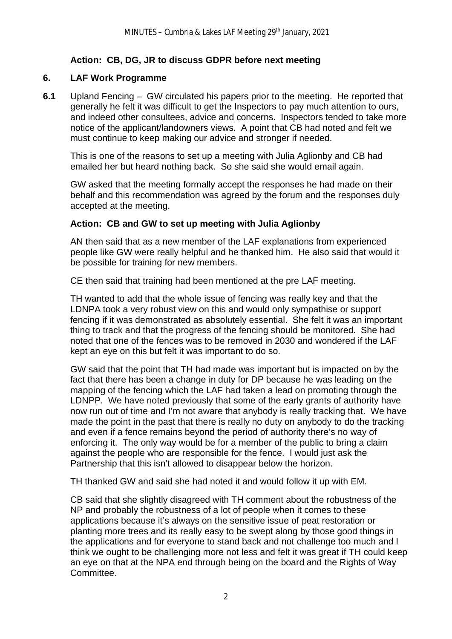# **Action: CB, DG, JR to discuss GDPR before next meeting**

### **6. LAF Work Programme**

**6.1** Upland Fencing – GW circulated his papers prior to the meeting. He reported that generally he felt it was difficult to get the Inspectors to pay much attention to ours, and indeed other consultees, advice and concerns. Inspectors tended to take more notice of the applicant/landowners views. A point that CB had noted and felt we must continue to keep making our advice and stronger if needed.

This is one of the reasons to set up a meeting with Julia Aglionby and CB had emailed her but heard nothing back. So she said she would email again.

 GW asked that the meeting formally accept the responses he had made on their behalf and this recommendation was agreed by the forum and the responses duly accepted at the meeting.

### **Action: CB and GW to set up meeting with Julia Aglionby**

AN then said that as a new member of the LAF explanations from experienced people like GW were really helpful and he thanked him. He also said that would it be possible for training for new members.

CE then said that training had been mentioned at the pre LAF meeting.

 TH wanted to add that the whole issue of fencing was really key and that the LDNPA took a very robust view on this and would only sympathise or support fencing if it was demonstrated as absolutely essential. She felt it was an important thing to track and that the progress of the fencing should be monitored. She had noted that one of the fences was to be removed in 2030 and wondered if the LAF kept an eye on this but felt it was important to do so.

 GW said that the point that TH had made was important but is impacted on by the fact that there has been a change in duty for DP because he was leading on the mapping of the fencing which the LAF had taken a lead on promoting through the LDNPP. We have noted previously that some of the early grants of authority have now run out of time and I'm not aware that anybody is really tracking that. We have made the point in the past that there is really no duty on anybody to do the tracking and even if a fence remains beyond the period of authority there's no way of enforcing it. The only way would be for a member of the public to bring a claim against the people who are responsible for the fence. I would just ask the Partnership that this isn't allowed to disappear below the horizon.

TH thanked GW and said she had noted it and would follow it up with EM.

CB said that she slightly disagreed with TH comment about the robustness of the NP and probably the robustness of a lot of people when it comes to these applications because it's always on the sensitive issue of peat restoration or planting more trees and its really easy to be swept along by those good things in the applications and for everyone to stand back and not challenge too much and I think we ought to be challenging more not less and felt it was great if TH could keep an eye on that at the NPA end through being on the board and the Rights of Way Committee.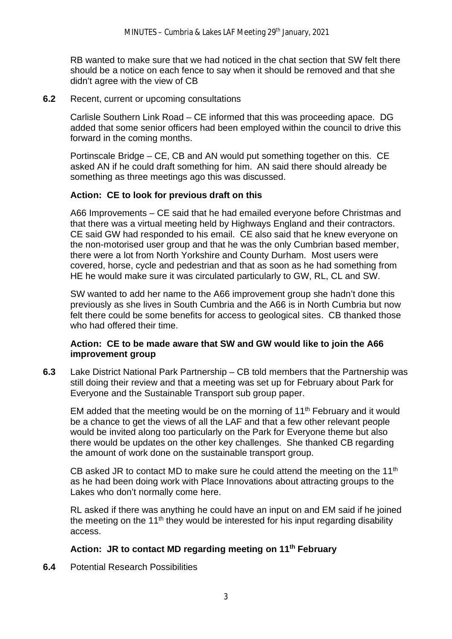RB wanted to make sure that we had noticed in the chat section that SW felt there should be a notice on each fence to say when it should be removed and that she didn't agree with the view of CB

**6.2** Recent, current or upcoming consultations

Carlisle Southern Link Road – CE informed that this was proceeding apace. DG added that some senior officers had been employed within the council to drive this forward in the coming months.

Portinscale Bridge – CE, CB and AN would put something together on this. CE asked AN if he could draft something for him. AN said there should already be something as three meetings ago this was discussed.

### **Action: CE to look for previous draft on this**

A66 Improvements – CE said that he had emailed everyone before Christmas and that there was a virtual meeting held by Highways England and their contractors. CE said GW had responded to his email. CE also said that he knew everyone on the non-motorised user group and that he was the only Cumbrian based member, there were a lot from North Yorkshire and County Durham. Most users were covered, horse, cycle and pedestrian and that as soon as he had something from HE he would make sure it was circulated particularly to GW, RL, CL and SW.

SW wanted to add her name to the A66 improvement group she hadn't done this previously as she lives in South Cumbria and the A66 is in North Cumbria but now felt there could be some benefits for access to geological sites. CB thanked those who had offered their time.

### **Action: CE to be made aware that SW and GW would like to join the A66 improvement group**

**6.3** Lake District National Park Partnership – CB told members that the Partnership was still doing their review and that a meeting was set up for February about Park for Everyone and the Sustainable Transport sub group paper.

EM added that the meeting would be on the morning of  $11<sup>th</sup>$  February and it would be a chance to get the views of all the LAF and that a few other relevant people would be invited along too particularly on the Park for Everyone theme but also there would be updates on the other key challenges. She thanked CB regarding the amount of work done on the sustainable transport group.

CB asked JR to contact MD to make sure he could attend the meeting on the 11<sup>th</sup> as he had been doing work with Place Innovations about attracting groups to the Lakes who don't normally come here.

 RL asked if there was anything he could have an input on and EM said if he joined the meeting on the 11<sup>th</sup> they would be interested for his input regarding disability access.

### **Action: JR to contact MD regarding meeting on 11th February**

**6.4** Potential Research Possibilities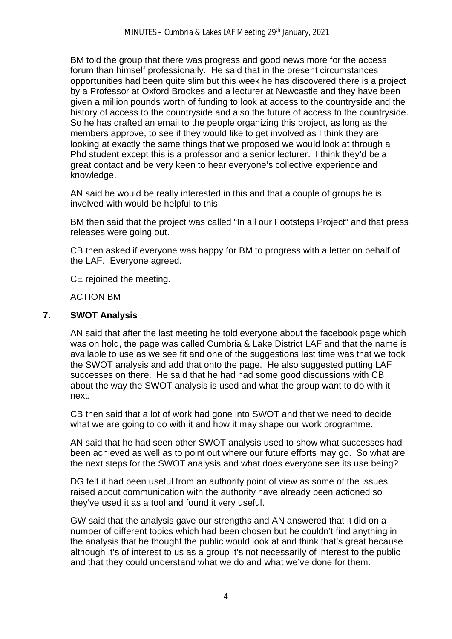BM told the group that there was progress and good news more for the access forum than himself professionally. He said that in the present circumstances opportunities had been quite slim but this week he has discovered there is a project by a Professor at Oxford Brookes and a lecturer at Newcastle and they have been given a million pounds worth of funding to look at access to the countryside and the history of access to the countryside and also the future of access to the countryside. So he has drafted an email to the people organizing this project, as long as the members approve, to see if they would like to get involved as I think they are looking at exactly the same things that we proposed we would look at through a Phd student except this is a professor and a senior lecturer. I think they'd be a great contact and be very keen to hear everyone's collective experience and knowledge.

AN said he would be really interested in this and that a couple of groups he is involved with would be helpful to this.

BM then said that the project was called "In all our Footsteps Project" and that press releases were going out.

CB then asked if everyone was happy for BM to progress with a letter on behalf of the LAF. Everyone agreed.

CE rejoined the meeting.

ACTION BM

### **7. SWOT Analysis**

AN said that after the last meeting he told everyone about the facebook page which was on hold, the page was called Cumbria & Lake District LAF and that the name is available to use as we see fit and one of the suggestions last time was that we took the SWOT analysis and add that onto the page. He also suggested putting LAF successes on there. He said that he had had some good discussions with CB about the way the SWOT analysis is used and what the group want to do with it next.

CB then said that a lot of work had gone into SWOT and that we need to decide what we are going to do with it and how it may shape our work programme.

AN said that he had seen other SWOT analysis used to show what successes had been achieved as well as to point out where our future efforts may go. So what are the next steps for the SWOT analysis and what does everyone see its use being?

DG felt it had been useful from an authority point of view as some of the issues raised about communication with the authority have already been actioned so they've used it as a tool and found it very useful.

GW said that the analysis gave our strengths and AN answered that it did on a number of different topics which had been chosen but he couldn't find anything in the analysis that he thought the public would look at and think that's great because although it's of interest to us as a group it's not necessarily of interest to the public and that they could understand what we do and what we've done for them.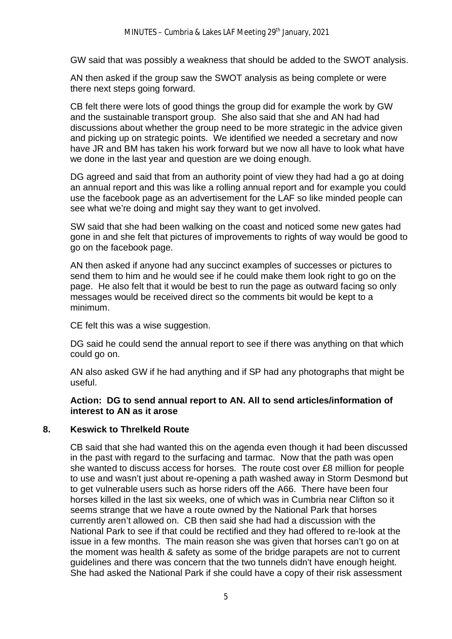GW said that was possibly a weakness that should be added to the SWOT analysis.

AN then asked if the group saw the SWOT analysis as being complete or were there next steps going forward.

CB felt there were lots of good things the group did for example the work by GW and the sustainable transport group. She also said that she and AN had had discussions about whether the group need to be more strategic in the advice given and picking up on strategic points. We identified we needed a secretary and now have JR and BM has taken his work forward but we now all have to look what have we done in the last year and question are we doing enough.

DG agreed and said that from an authority point of view they had had a go at doing an annual report and this was like a rolling annual report and for example you could use the facebook page as an advertisement for the LAF so like minded people can see what we're doing and might say they want to get involved.

SW said that she had been walking on the coast and noticed some new gates had gone in and she felt that pictures of improvements to rights of way would be good to go on the facebook page.

AN then asked if anyone had any succinct examples of successes or pictures to send them to him and he would see if he could make them look right to go on the page. He also felt that it would be best to run the page as outward facing so only messages would be received direct so the comments bit would be kept to a minimum.

CE felt this was a wise suggestion.

DG said he could send the annual report to see if there was anything on that which could go on.

AN also asked GW if he had anything and if SP had any photographs that might be useful.

### **Action: DG to send annual report to AN. All to send articles/information of interest to AN as it arose**

### **8. Keswick to Threlkeld Route**

CB said that she had wanted this on the agenda even though it had been discussed in the past with regard to the surfacing and tarmac. Now that the path was open she wanted to discuss access for horses. The route cost over £8 million for people to use and wasn't just about re-opening a path washed away in Storm Desmond but to get vulnerable users such as horse riders off the A66. There have been four horses killed in the last six weeks, one of which was in Cumbria near Clifton so it seems strange that we have a route owned by the National Park that horses currently aren't allowed on. CB then said she had had a discussion with the National Park to see if that could be rectified and they had offered to re-look at the issue in a few months. The main reason she was given that horses can't go on at the moment was health & safety as some of the bridge parapets are not to current guidelines and there was concern that the two tunnels didn't have enough height. She had asked the National Park if she could have a copy of their risk assessment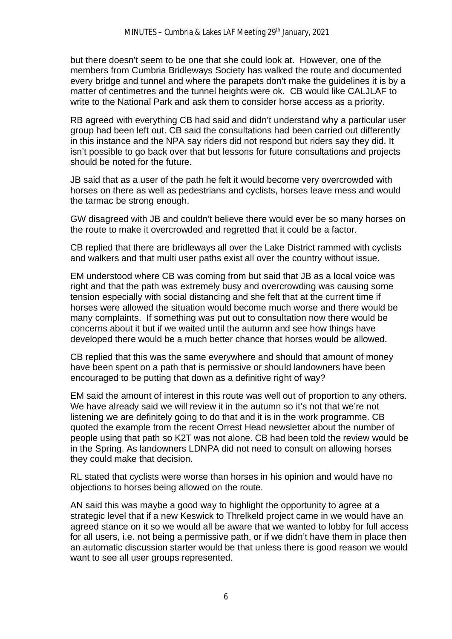but there doesn't seem to be one that she could look at. However, one of the members from Cumbria Bridleways Society has walked the route and documented every bridge and tunnel and where the parapets don't make the guidelines it is by a matter of centimetres and the tunnel heights were ok. CB would like CALJLAF to write to the National Park and ask them to consider horse access as a priority.

RB agreed with everything CB had said and didn't understand why a particular user group had been left out. CB said the consultations had been carried out differently in this instance and the NPA say riders did not respond but riders say they did. It isn't possible to go back over that but lessons for future consultations and projects should be noted for the future.

JB said that as a user of the path he felt it would become very overcrowded with horses on there as well as pedestrians and cyclists, horses leave mess and would the tarmac be strong enough.

GW disagreed with JB and couldn't believe there would ever be so many horses on the route to make it overcrowded and regretted that it could be a factor.

CB replied that there are bridleways all over the Lake District rammed with cyclists and walkers and that multi user paths exist all over the country without issue.

EM understood where CB was coming from but said that JB as a local voice was right and that the path was extremely busy and overcrowding was causing some tension especially with social distancing and she felt that at the current time if horses were allowed the situation would become much worse and there would be many complaints. If something was put out to consultation now there would be concerns about it but if we waited until the autumn and see how things have developed there would be a much better chance that horses would be allowed.

CB replied that this was the same everywhere and should that amount of money have been spent on a path that is permissive or should landowners have been encouraged to be putting that down as a definitive right of way?

EM said the amount of interest in this route was well out of proportion to any others. We have already said we will review it in the autumn so it's not that we're not listening we are definitely going to do that and it is in the work programme. CB quoted the example from the recent Orrest Head newsletter about the number of people using that path so K2T was not alone. CB had been told the review would be in the Spring. As landowners LDNPA did not need to consult on allowing horses they could make that decision.

RL stated that cyclists were worse than horses in his opinion and would have no objections to horses being allowed on the route.

AN said this was maybe a good way to highlight the opportunity to agree at a strategic level that if a new Keswick to Threlkeld project came in we would have an agreed stance on it so we would all be aware that we wanted to lobby for full access for all users, i.e. not being a permissive path, or if we didn't have them in place then an automatic discussion starter would be that unless there is good reason we would want to see all user groups represented.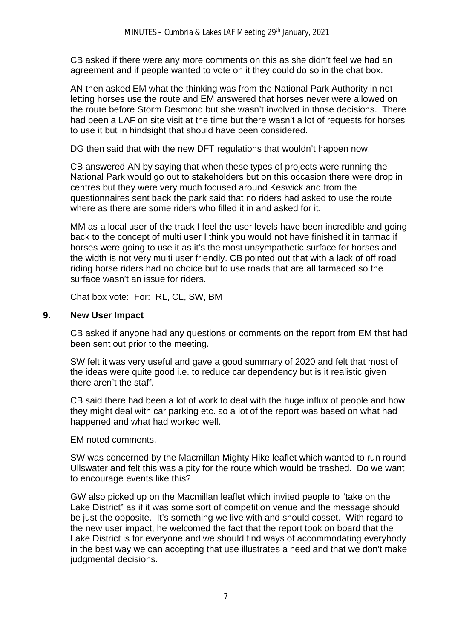CB asked if there were any more comments on this as she didn't feel we had an agreement and if people wanted to vote on it they could do so in the chat box.

AN then asked EM what the thinking was from the National Park Authority in not letting horses use the route and EM answered that horses never were allowed on the route before Storm Desmond but she wasn't involved in those decisions. There had been a LAF on site visit at the time but there wasn't a lot of requests for horses to use it but in hindsight that should have been considered.

DG then said that with the new DFT regulations that wouldn't happen now.

CB answered AN by saying that when these types of projects were running the National Park would go out to stakeholders but on this occasion there were drop in centres but they were very much focused around Keswick and from the questionnaires sent back the park said that no riders had asked to use the route where as there are some riders who filled it in and asked for it.

MM as a local user of the track I feel the user levels have been incredible and going back to the concept of multi user I think you would not have finished it in tarmac if horses were going to use it as it's the most unsympathetic surface for horses and the width is not very multi user friendly. CB pointed out that with a lack of off road riding horse riders had no choice but to use roads that are all tarmaced so the surface wasn't an issue for riders.

Chat box vote: For: RL, CL, SW, BM

### **9. New User Impact**

 CB asked if anyone had any questions or comments on the report from EM that had been sent out prior to the meeting.

 SW felt it was very useful and gave a good summary of 2020 and felt that most of the ideas were quite good i.e. to reduce car dependency but is it realistic given there aren't the staff.

 CB said there had been a lot of work to deal with the huge influx of people and how they might deal with car parking etc. so a lot of the report was based on what had happened and what had worked well.

EM noted comments.

 SW was concerned by the Macmillan Mighty Hike leaflet which wanted to run round Ullswater and felt this was a pity for the route which would be trashed. Do we want to encourage events like this?

 GW also picked up on the Macmillan leaflet which invited people to "take on the Lake District" as if it was some sort of competition venue and the message should be just the opposite. It's something we live with and should cosset. With regard to the new user impact, he welcomed the fact that the report took on board that the Lake District is for everyone and we should find ways of accommodating everybody in the best way we can accepting that use illustrates a need and that we don't make judgmental decisions.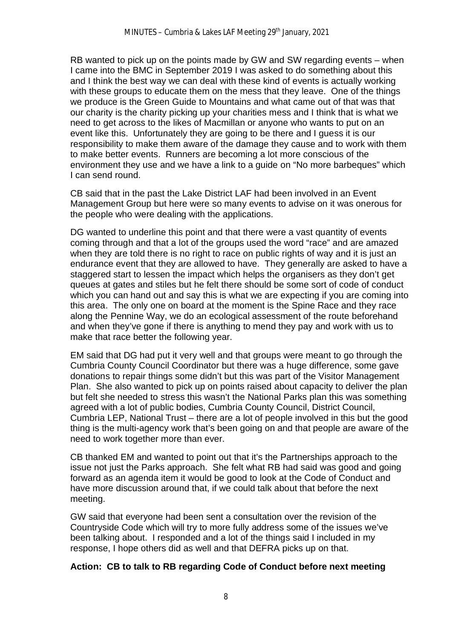RB wanted to pick up on the points made by GW and SW regarding events – when I came into the BMC in September 2019 I was asked to do something about this and I think the best way we can deal with these kind of events is actually working with these groups to educate them on the mess that they leave. One of the things we produce is the Green Guide to Mountains and what came out of that was that our charity is the charity picking up your charities mess and I think that is what we need to get across to the likes of Macmillan or anyone who wants to put on an event like this. Unfortunately they are going to be there and I guess it is our responsibility to make them aware of the damage they cause and to work with them to make better events. Runners are becoming a lot more conscious of the environment they use and we have a link to a guide on "No more barbeques" which I can send round.

 CB said that in the past the Lake District LAF had been involved in an Event Management Group but here were so many events to advise on it was onerous for the people who were dealing with the applications.

DG wanted to underline this point and that there were a vast quantity of events coming through and that a lot of the groups used the word "race" and are amazed when they are told there is no right to race on public rights of way and it is just an endurance event that they are allowed to have. They generally are asked to have a staggered start to lessen the impact which helps the organisers as they don't get queues at gates and stiles but he felt there should be some sort of code of conduct which you can hand out and say this is what we are expecting if you are coming into this area. The only one on board at the moment is the Spine Race and they race along the Pennine Way, we do an ecological assessment of the route beforehand and when they've gone if there is anything to mend they pay and work with us to make that race better the following year.

 EM said that DG had put it very well and that groups were meant to go through the Cumbria County Council Coordinator but there was a huge difference, some gave donations to repair things some didn't but this was part of the Visitor Management Plan. She also wanted to pick up on points raised about capacity to deliver the plan but felt she needed to stress this wasn't the National Parks plan this was something agreed with a lot of public bodies, Cumbria County Council, District Council, Cumbria LEP, National Trust – there are a lot of people involved in this but the good thing is the multi-agency work that's been going on and that people are aware of the need to work together more than ever.

 CB thanked EM and wanted to point out that it's the Partnerships approach to the issue not just the Parks approach. She felt what RB had said was good and going forward as an agenda item it would be good to look at the Code of Conduct and have more discussion around that, if we could talk about that before the next meeting.

 GW said that everyone had been sent a consultation over the revision of the Countryside Code which will try to more fully address some of the issues we've been talking about. I responded and a lot of the things said I included in my response, I hope others did as well and that DEFRA picks up on that.

# **Action: CB to talk to RB regarding Code of Conduct before next meeting**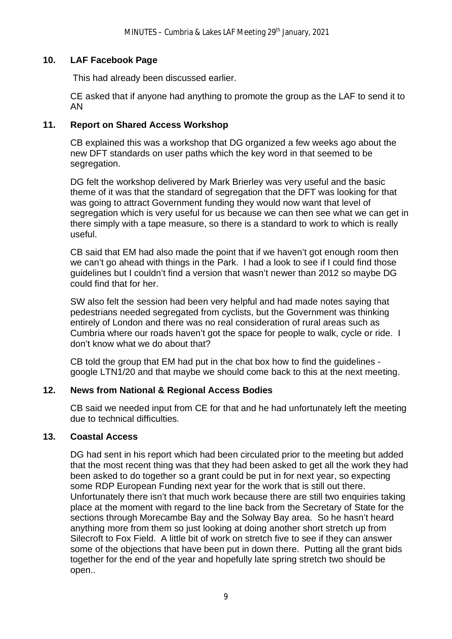### **10. LAF Facebook Page**

This had already been discussed earlier.

CE asked that if anyone had anything to promote the group as the LAF to send it to AN

### **11. Report on Shared Access Workshop**

CB explained this was a workshop that DG organized a few weeks ago about the new DFT standards on user paths which the key word in that seemed to be segregation.

DG felt the workshop delivered by Mark Brierley was very useful and the basic theme of it was that the standard of segregation that the DFT was looking for that was going to attract Government funding they would now want that level of segregation which is very useful for us because we can then see what we can get in there simply with a tape measure, so there is a standard to work to which is really useful.

CB said that EM had also made the point that if we haven't got enough room then we can't go ahead with things in the Park. I had a look to see if I could find those guidelines but I couldn't find a version that wasn't newer than 2012 so maybe DG could find that for her.

SW also felt the session had been very helpful and had made notes saying that pedestrians needed segregated from cyclists, but the Government was thinking entirely of London and there was no real consideration of rural areas such as Cumbria where our roads haven't got the space for people to walk, cycle or ride. I don't know what we do about that?

CB told the group that EM had put in the chat box how to find the guidelines google LTN1/20 and that maybe we should come back to this at the next meeting.

# **12. News from National & Regional Access Bodies**

CB said we needed input from CE for that and he had unfortunately left the meeting due to technical difficulties.

### **13. Coastal Access**

DG had sent in his report which had been circulated prior to the meeting but added that the most recent thing was that they had been asked to get all the work they had been asked to do together so a grant could be put in for next year, so expecting some RDP European Funding next year for the work that is still out there. Unfortunately there isn't that much work because there are still two enquiries taking place at the moment with regard to the line back from the Secretary of State for the sections through Morecambe Bay and the Solway Bay area. So he hasn't heard anything more from them so just looking at doing another short stretch up from Silecroft to Fox Field. A little bit of work on stretch five to see if they can answer some of the objections that have been put in down there. Putting all the grant bids together for the end of the year and hopefully late spring stretch two should be open..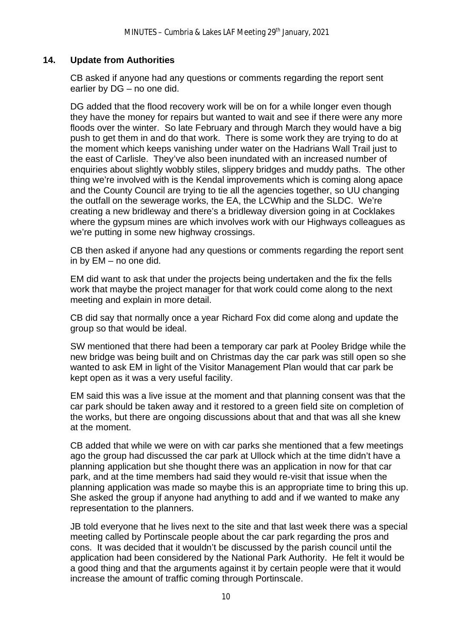# **14. Update from Authorities**

 CB asked if anyone had any questions or comments regarding the report sent earlier by DG – no one did.

 DG added that the flood recovery work will be on for a while longer even though they have the money for repairs but wanted to wait and see if there were any more floods over the winter. So late February and through March they would have a big push to get them in and do that work. There is some work they are trying to do at the moment which keeps vanishing under water on the Hadrians Wall Trail just to the east of Carlisle. They've also been inundated with an increased number of enquiries about slightly wobbly stiles, slippery bridges and muddy paths. The other thing we're involved with is the Kendal improvements which is coming along apace and the County Council are trying to tie all the agencies together, so UU changing the outfall on the sewerage works, the EA, the LCWhip and the SLDC. We're creating a new bridleway and there's a bridleway diversion going in at Cocklakes where the gypsum mines are which involves work with our Highways colleagues as we're putting in some new highway crossings.

 CB then asked if anyone had any questions or comments regarding the report sent in by EM – no one did.

 EM did want to ask that under the projects being undertaken and the fix the fells work that maybe the project manager for that work could come along to the next meeting and explain in more detail.

 CB did say that normally once a year Richard Fox did come along and update the group so that would be ideal.

 SW mentioned that there had been a temporary car park at Pooley Bridge while the new bridge was being built and on Christmas day the car park was still open so she wanted to ask EM in light of the Visitor Management Plan would that car park be kept open as it was a very useful facility.

 EM said this was a live issue at the moment and that planning consent was that the car park should be taken away and it restored to a green field site on completion of the works, but there are ongoing discussions about that and that was all she knew at the moment.

 CB added that while we were on with car parks she mentioned that a few meetings ago the group had discussed the car park at Ullock which at the time didn't have a planning application but she thought there was an application in now for that car park, and at the time members had said they would re-visit that issue when the planning application was made so maybe this is an appropriate time to bring this up. She asked the group if anyone had anything to add and if we wanted to make any representation to the planners.

 JB told everyone that he lives next to the site and that last week there was a special meeting called by Portinscale people about the car park regarding the pros and cons. It was decided that it wouldn't be discussed by the parish council until the application had been considered by the National Park Authority. He felt it would be a good thing and that the arguments against it by certain people were that it would increase the amount of traffic coming through Portinscale.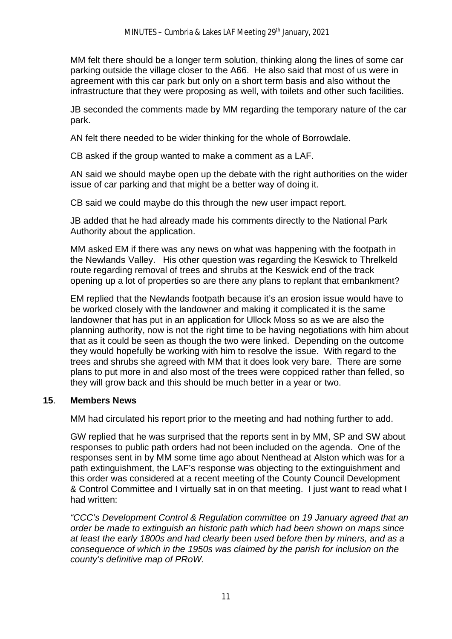MM felt there should be a longer term solution, thinking along the lines of some car parking outside the village closer to the A66. He also said that most of us were in agreement with this car park but only on a short term basis and also without the infrastructure that they were proposing as well, with toilets and other such facilities.

 JB seconded the comments made by MM regarding the temporary nature of the car park.

AN felt there needed to be wider thinking for the whole of Borrowdale.

CB asked if the group wanted to make a comment as a LAF.

 AN said we should maybe open up the debate with the right authorities on the wider issue of car parking and that might be a better way of doing it.

CB said we could maybe do this through the new user impact report.

 JB added that he had already made his comments directly to the National Park Authority about the application.

 MM asked EM if there was any news on what was happening with the footpath in the Newlands Valley. His other question was regarding the Keswick to Threlkeld route regarding removal of trees and shrubs at the Keswick end of the track opening up a lot of properties so are there any plans to replant that embankment?

 EM replied that the Newlands footpath because it's an erosion issue would have to be worked closely with the landowner and making it complicated it is the same landowner that has put in an application for Ullock Moss so as we are also the planning authority, now is not the right time to be having negotiations with him about that as it could be seen as though the two were linked. Depending on the outcome they would hopefully be working with him to resolve the issue. With regard to the trees and shrubs she agreed with MM that it does look very bare. There are some plans to put more in and also most of the trees were coppiced rather than felled, so they will grow back and this should be much better in a year or two.

### **15**. **Members News**

MM had circulated his report prior to the meeting and had nothing further to add.

 GW replied that he was surprised that the reports sent in by MM, SP and SW about responses to public path orders had not been included on the agenda. One of the responses sent in by MM some time ago about Nenthead at Alston which was for a path extinguishment, the LAF's response was objecting to the extinguishment and this order was considered at a recent meeting of the County Council Development & Control Committee and I virtually sat in on that meeting. I just want to read what I had written:

*"CCC's Development Control & Regulation committee on 19 January agreed that an order be made to extinguish an historic path which had been shown on maps since at least the early 1800s and had clearly been used before then by miners, and as a consequence of which in the 1950s was claimed by the parish for inclusion on the county's definitive map of PRoW.*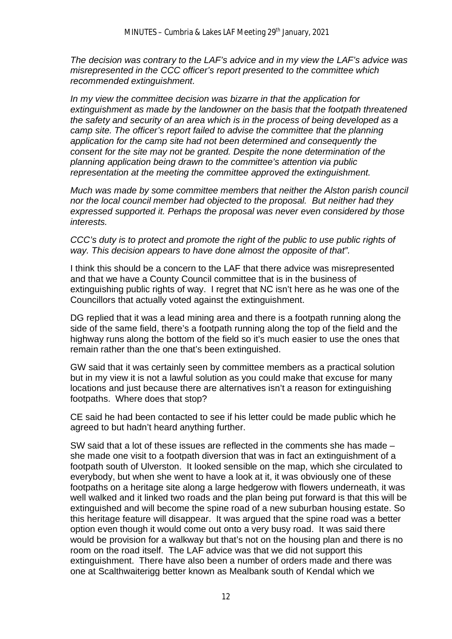*The decision was contrary to the LAF's advice and in my view the LAF's advice was misrepresented in the CCC officer's report presented to the committee which recommended extinguishment.*

*In my view the committee decision was bizarre in that the application for extinguishment as made by the landowner on the basis that the footpath threatened the safety and security of an area which is in the process of being developed as a camp site. The officer's report failed to advise the committee that the planning application for the camp site had not been determined and consequently the consent for the site may not be granted. Despite the none determination of the planning application being drawn to the committee's attention via public representation at the meeting the committee approved the extinguishment.*

*Much was made by some committee members that neither the Alston parish council nor the local council member had objected to the proposal. But neither had they expressed supported it. Perhaps the proposal was never even considered by those interests.*

*CCC's duty is to protect and promote the right of the public to use public rights of way. This decision appears to have done almost the opposite of that".*

I think this should be a concern to the LAF that there advice was misrepresented and that we have a County Council committee that is in the business of extinguishing public rights of way. I regret that NC isn't here as he was one of the Councillors that actually voted against the extinguishment.

DG replied that it was a lead mining area and there is a footpath running along the side of the same field, there's a footpath running along the top of the field and the highway runs along the bottom of the field so it's much easier to use the ones that remain rather than the one that's been extinguished.

GW said that it was certainly seen by committee members as a practical solution but in my view it is not a lawful solution as you could make that excuse for many locations and just because there are alternatives isn't a reason for extinguishing footpaths. Where does that stop?

CE said he had been contacted to see if his letter could be made public which he agreed to but hadn't heard anything further.

SW said that a lot of these issues are reflected in the comments she has made – she made one visit to a footpath diversion that was in fact an extinguishment of a footpath south of Ulverston. It looked sensible on the map, which she circulated to everybody, but when she went to have a look at it, it was obviously one of these footpaths on a heritage site along a large hedgerow with flowers underneath, it was well walked and it linked two roads and the plan being put forward is that this will be extinguished and will become the spine road of a new suburban housing estate. So this heritage feature will disappear. It was argued that the spine road was a better option even though it would come out onto a very busy road. It was said there would be provision for a walkway but that's not on the housing plan and there is no room on the road itself. The LAF advice was that we did not support this extinguishment. There have also been a number of orders made and there was one at Scalthwaiterigg better known as Mealbank south of Kendal which we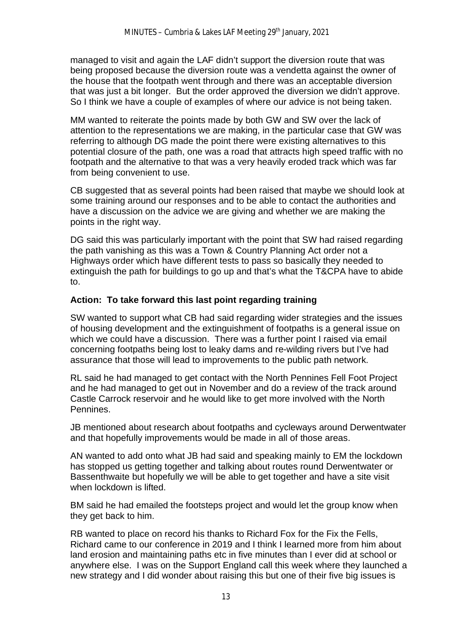managed to visit and again the LAF didn't support the diversion route that was being proposed because the diversion route was a vendetta against the owner of the house that the footpath went through and there was an acceptable diversion that was just a bit longer. But the order approved the diversion we didn't approve. So I think we have a couple of examples of where our advice is not being taken.

MM wanted to reiterate the points made by both GW and SW over the lack of attention to the representations we are making, in the particular case that GW was referring to although DG made the point there were existing alternatives to this potential closure of the path, one was a road that attracts high speed traffic with no footpath and the alternative to that was a very heavily eroded track which was far from being convenient to use.

CB suggested that as several points had been raised that maybe we should look at some training around our responses and to be able to contact the authorities and have a discussion on the advice we are giving and whether we are making the points in the right way.

DG said this was particularly important with the point that SW had raised regarding the path vanishing as this was a Town & Country Planning Act order not a Highways order which have different tests to pass so basically they needed to extinguish the path for buildings to go up and that's what the T&CPA have to abide to.

### **Action: To take forward this last point regarding training**

SW wanted to support what CB had said regarding wider strategies and the issues of housing development and the extinguishment of footpaths is a general issue on which we could have a discussion. There was a further point I raised via email concerning footpaths being lost to leaky dams and re-wilding rivers but I've had assurance that those will lead to improvements to the public path network.

RL said he had managed to get contact with the North Pennines Fell Foot Project and he had managed to get out in November and do a review of the track around Castle Carrock reservoir and he would like to get more involved with the North Pennines.

JB mentioned about research about footpaths and cycleways around Derwentwater and that hopefully improvements would be made in all of those areas.

AN wanted to add onto what JB had said and speaking mainly to EM the lockdown has stopped us getting together and talking about routes round Derwentwater or Bassenthwaite but hopefully we will be able to get together and have a site visit when lockdown is lifted.

BM said he had emailed the footsteps project and would let the group know when they get back to him.

RB wanted to place on record his thanks to Richard Fox for the Fix the Fells, Richard came to our conference in 2019 and I think I learned more from him about land erosion and maintaining paths etc in five minutes than I ever did at school or anywhere else. I was on the Support England call this week where they launched a new strategy and I did wonder about raising this but one of their five big issues is